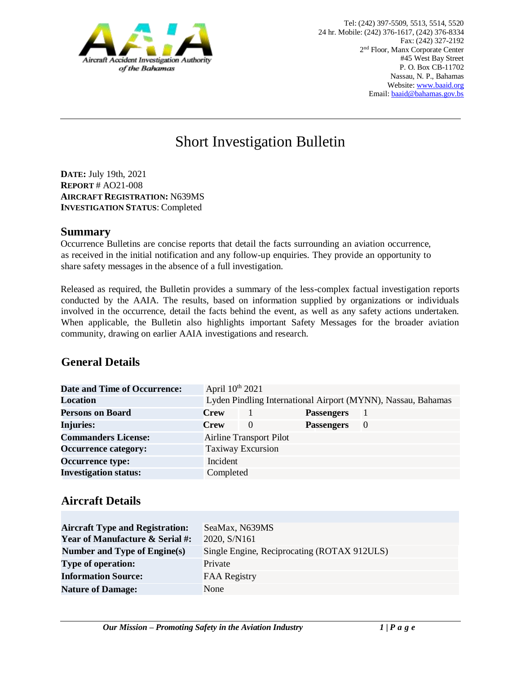

# Short Investigation Bulletin

**DATE:** July 19th, 2021 **REPORT** # AO21-008 **AIRCRAFT REGISTRATION:** N639MS **INVESTIGATION STATUS**: Completed

#### **Summary**

Occurrence Bulletins are concise reports that detail the facts surrounding an aviation occurrence, as received in the initial notification and any follow-up enquiries. They provide an opportunity to share safety messages in the absence of a full investigation*.* 

Released as required, the Bulletin provides a summary of the less-complex factual investigation reports conducted by the AAIA. The results, based on information supplied by organizations or individuals involved in the occurrence, detail the facts behind the event, as well as any safety actions undertaken. When applicable, the Bulletin also highlights important Safety Messages for the broader aviation community, drawing on earlier AAIA investigations and research.

# **General Details**

| Date and Time of Occurrence: | April 10 <sup>th</sup> 2021    |          |                   |                                                              |  |
|------------------------------|--------------------------------|----------|-------------------|--------------------------------------------------------------|--|
| Location                     |                                |          |                   | Lyden Pindling International Airport (MYNN), Nassau, Bahamas |  |
| <b>Persons on Board</b>      | <b>Crew</b>                    |          | <b>Passengers</b> |                                                              |  |
| Injuries:                    | <b>Crew</b>                    | $\theta$ | <b>Passengers</b> | $\theta$                                                     |  |
| <b>Commanders License:</b>   | <b>Airline Transport Pilot</b> |          |                   |                                                              |  |
| <b>Occurrence category:</b>  | <b>Taxiway Excursion</b>       |          |                   |                                                              |  |
| <b>Occurrence type:</b>      | Incident                       |          |                   |                                                              |  |
| <b>Investigation status:</b> | Completed                      |          |                   |                                                              |  |

### **Aircraft Details**

| <b>Aircraft Type and Registration:</b><br><b>Year of Manufacture &amp; Serial #:</b> | SeaMax, N639MS<br>2020, S/N161              |
|--------------------------------------------------------------------------------------|---------------------------------------------|
| Number and Type of Engine(s)                                                         | Single Engine, Reciprocating (ROTAX 912ULS) |
| <b>Type of operation:</b>                                                            | Private                                     |
| <b>Information Source:</b>                                                           | <b>FAA Registry</b>                         |
| <b>Nature of Damage:</b>                                                             | None                                        |